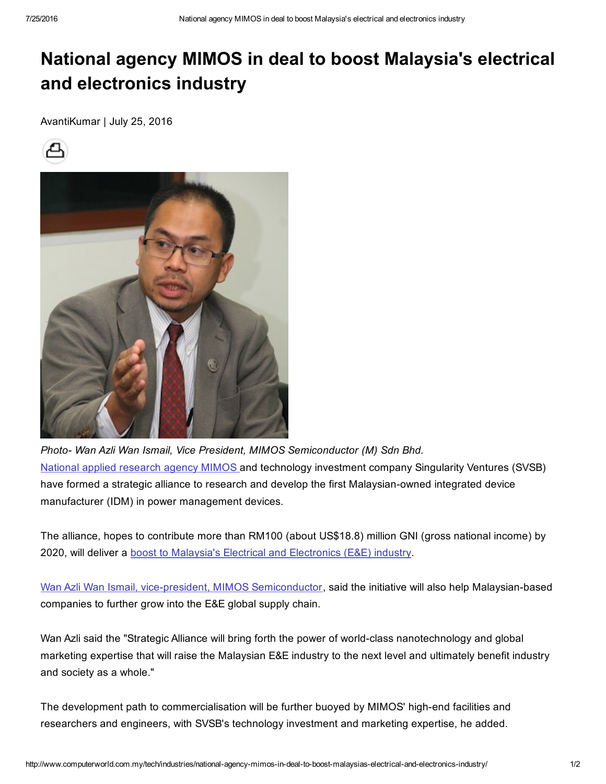## National agency MIMOS in deal to boost Malaysia's electrical and electronics industry

AvantiKumar | July 25, 2016





*Photo Wan Azli Wan Ismail, Vice President, MIMOS Semiconductor (M) Sdn Bhd.* National applied [research](http://www.computerworld.com.my/resource/applications/why-mimos-is-urging-malaysias-iot-community-to-collaborate/) agency MIMOS and technology investment company Singularity Ventures (SVSB) have formed a strategic alliance to research and develop the first Malaysian-owned integrated device manufacturer (IDM) in power management devices.

The alliance, hopes to contribute more than RM100 (about US\$18.8) million GNI (gross national income) by 2020, will deliver a boost to Malaysia's Electrical and [Electronics](http://www.computerworld.com.my/resource/applications/mimos-urges-malaysian-companies-to-tap-smart-homes-opportunity/) (E&E) industry.

Wan Azli Wan Ismail, vice-president, MIMOS [Semiconductor](http://www.computerworld.com.my/tech/applications/mimos-kickstarts-malaysias-internet-of-things-blueprint/), said the initiative will also help Malaysian-based companies to further grow into the E&E global supply chain.

Wan Azli said the "Strategic Alliance will bring forth the power of world-class nanotechnology and global marketing expertise that will raise the Malaysian E&E industry to the next level and ultimately benefit industry and society as a whole."

The development path to commercialisation will be further buoyed by MIMOS' high-end facilities and researchers and engineers, with SVSB's technology investment and marketing expertise, he added.